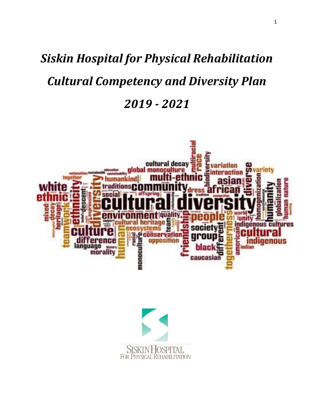# *Siskin Hospital for Physical Rehabilitation Cultural Competency and Diversity Plan 2019 - 2021*



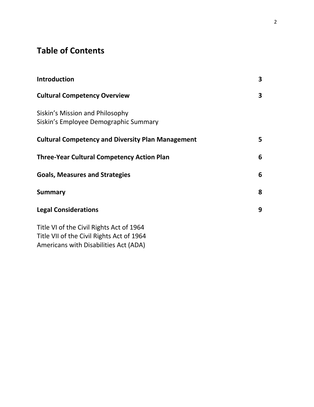# **Table of Contents**

| <b>Introduction</b>                                                                   | 3 |
|---------------------------------------------------------------------------------------|---|
| <b>Cultural Competency Overview</b>                                                   | 3 |
| Siskin's Mission and Philosophy<br>Siskin's Employee Demographic Summary              |   |
| <b>Cultural Competency and Diversity Plan Management</b>                              | 5 |
| <b>Three-Year Cultural Competency Action Plan</b>                                     | 6 |
| <b>Goals, Measures and Strategies</b>                                                 | 6 |
| <b>Summary</b>                                                                        | 8 |
| <b>Legal Considerations</b>                                                           | 9 |
| Title VI of the Civil Rights Act of 1964<br>Title VII of the Civil Rights Act of 1964 |   |

Americans with Disabilities Act (ADA)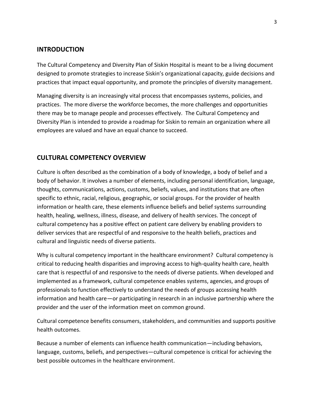#### **INTRODUCTION**

The Cultural Competency and Diversity Plan of Siskin Hospital is meant to be a living document designed to promote strategies to increase Siskin's organizational capacity, guide decisions and practices that impact equal opportunity, and promote the principles of diversity management.

Managing diversity is an increasingly vital process that encompasses systems, policies, and practices. The more diverse the workforce becomes, the more challenges and opportunities there may be to manage people and processes effectively. The Cultural Competency and Diversity Plan is intended to provide a roadmap for Siskin to remain an organization where all employees are valued and have an equal chance to succeed.

## **CULTURAL COMPETENCY OVERVIEW**

Culture is often described as the combination of a body of knowledge, a body of belief and a body of behavior. It involves a number of elements, including personal identification, language, thoughts, communications, actions, customs, beliefs, values, and institutions that are often specific to ethnic, racial, religious, geographic, or social groups. For the provider of health information or health care, these elements influence beliefs and belief systems surrounding health, healing, wellness, illness, disease, and delivery of health services. The concept of cultural competency has a positive effect on patient care delivery by enabling providers to deliver services that are respectful of and responsive to the health beliefs, practices and cultural and linguistic needs of diverse patients.

Why is cultural competency important in the healthcare environment? Cultural competency is critical to reducing health disparities and improving access to high-quality health care, health care that is respectful of and responsive to the needs of diverse patients. When developed and implemented as a framework, cultural competence enables systems, agencies, and groups of professionals to function effectively to understand the needs of groups accessing health information and health care—or participating in research in an inclusive partnership where the provider and the user of the information meet on common ground.

Cultural competence benefits consumers, stakeholders, and communities and supports positive health outcomes.

Because a number of elements can influence health communication—including behaviors, language, customs, beliefs, and perspectives—cultural competence is critical for achieving the best possible outcomes in the healthcare environment.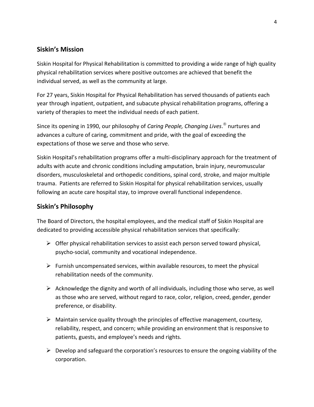## **Siskin's Mission**

Siskin Hospital for Physical Rehabilitation is committed to providing a wide range of high quality physical rehabilitation services where positive outcomes are achieved that benefit the individual served, as well as the community at large.

For 27 years, Siskin Hospital for Physical Rehabilitation has served thousands of patients each year through inpatient, outpatient, and subacute physical rehabilitation programs, offering a variety of therapies to meet the individual needs of each patient.

Since its opening in 1990, our philosophy of *Caring People, Changing Lives*. nurtures and advances a culture of caring, commitment and pride, with the goal of exceeding the expectations of those we serve and those who serve.

Siskin Hospital's rehabilitation programs offer a multi-disciplinary approach for the treatment of adults with acute and chronic conditions including amputation, brain injury, neuromuscular disorders, musculoskeletal and orthopedic conditions, spinal cord, stroke, and major multiple trauma. Patients are referred to Siskin Hospital for physical rehabilitation services, usually following an acute care hospital stay, to improve overall functional independence.

# **Siskin's Philosophy**

The Board of Directors, the hospital employees, and the medical staff of Siskin Hospital are dedicated to providing accessible physical rehabilitation services that specifically:

- $\triangleright$  Offer physical rehabilitation services to assist each person served toward physical, psycho-social, community and vocational independence.
- $\triangleright$  Furnish uncompensated services, within available resources, to meet the physical rehabilitation needs of the community.
- $\triangleright$  Acknowledge the dignity and worth of all individuals, including those who serve, as well as those who are served, without regard to race, color, religion, creed, gender, gender preference, or disability.
- $\triangleright$  Maintain service quality through the principles of effective management, courtesy, reliability, respect, and concern; while providing an environment that is responsive to patients, guests, and employee's needs and rights.
- $\triangleright$  Develop and safeguard the corporation's resources to ensure the ongoing viability of the corporation.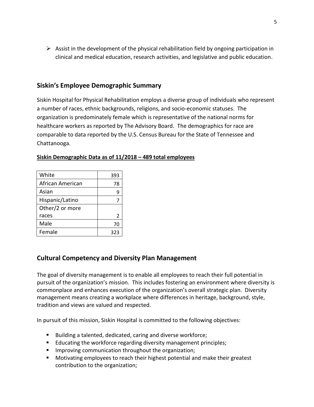$\triangleright$  Assist in the development of the physical rehabilitation field by ongoing participation in clinical and medical education, research activities, and legislative and public education.

#### **Siskin's Employee Demographic Summary**

Siskin Hospital for Physical Rehabilitation employs a diverse group of individuals who represent a number of races, ethnic backgrounds, religions, and socio-economic statuses. The organization is predominately female which is representative of the national norms for healthcare workers as reported by The Advisory Board. The demographics for race are comparable to data reported by the U.S. Census Bureau for the State of Tennessee and Chattanooga.

| White            | 393 |
|------------------|-----|
| African American | 78  |
| Asian            | 9   |
| Hispanic/Latino  | 7   |
| Other/2 or more  |     |
| races            | 2   |
| Male             | 70  |
| Female           | 323 |

#### **Siskin Demographic Data as of 11/2018 – 489 total employees**

## **Cultural Competency and Diversity Plan Management**

The goal of diversity management is to enable all employees to reach their full potential in pursuit of the organization's mission. This includes fostering an environment where diversity is commonplace and enhances execution of the organization's overall strategic plan. Diversity management means creating a workplace where differences in heritage, background, style, tradition and views are valued and respected.

In pursuit of this mission, Siskin Hospital is committed to the following objectives:

- Building a talented, dedicated, caring and diverse workforce;
- **Educating the workforce regarding diversity management principles;**
- **IMPROPIED 19 Improving communication throughout the organization;**
- Motivating employees to reach their highest potential and make their greatest contribution to the organization;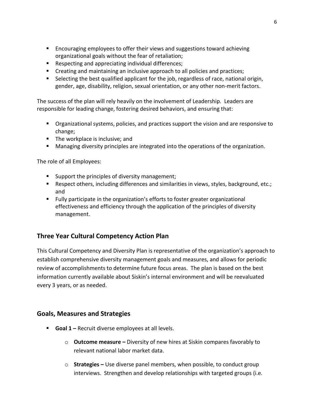- **Encouraging employees to offer their views and suggestions toward achieving** organizational goals without the fear of retaliation;
- Respecting and appreciating individual differences;
- **EXECT** Creating and maintaining an inclusive approach to all policies and practices;
- **Selecting the best qualified applicant for the job, regardless of race, national origin,** gender, age, disability, religion, sexual orientation, or any other non-merit factors.

The success of the plan will rely heavily on the involvement of Leadership. Leaders are responsible for leading change, fostering desired behaviors, and ensuring that:

- Organizational systems, policies, and practices support the vision and are responsive to change;
- **The workplace is inclusive; and**
- **Managing diversity principles are integrated into the operations of the organization.**

The role of all Employees:

- **Support the principles of diversity management;**
- **Respect others, including differences and similarities in views, styles, background, etc.;** and
- Fully participate in the organization's efforts to foster greater organizational effectiveness and efficiency through the application of the principles of diversity management.

# **Three Year Cultural Competency Action Plan**

This Cultural Competency and Diversity Plan is representative of the organization's approach to establish comprehensive diversity management goals and measures, and allows for periodic review of accomplishments to determine future focus areas. The plan is based on the best information currently available about Siskin's internal environment and will be reevaluated every 3 years, or as needed.

## **Goals, Measures and Strategies**

- **Goal 1 –** Recruit diverse employees at all levels.
	- o **Outcome measure –** Diversity of new hires at Siskin compares favorably to relevant national labor market data.
	- o **Strategies –** Use diverse panel members, when possible, to conduct group interviews. Strengthen and develop relationships with targeted groups (i.e.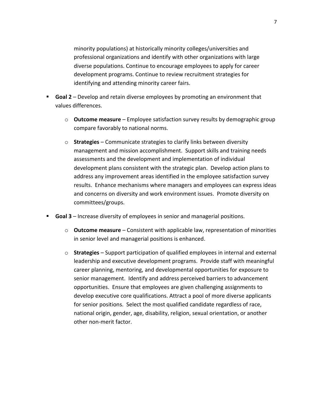minority populations) at historically minority colleges/universities and professional organizations and identify with other organizations with large diverse populations. Continue to encourage employees to apply for career development programs. Continue to review recruitment strategies for identifying and attending minority career fairs.

- **Goal 2** Develop and retain diverse employees by promoting an environment that values differences.
	- o **Outcome measure** Employee satisfaction survey results by demographic group compare favorably to national norms.
	- o **Strategies**  Communicate strategies to clarify links between diversity management and mission accomplishment. Support skills and training needs assessments and the development and implementation of individual development plans consistent with the strategic plan. Develop action plans to address any improvement areas identified in the employee satisfaction survey results. Enhance mechanisms where managers and employees can express ideas and concerns on diversity and work environment issues. Promote diversity on committees/groups.
- **Goal 3** Increase diversity of employees in senior and managerial positions.
	- o **Outcome measure** Consistent with applicable law, representation of minorities in senior level and managerial positions is enhanced.
	- o **Strategies**  Support participation of qualified employees in internal and external leadership and executive development programs. Provide staff with meaningful career planning, mentoring, and developmental opportunities for exposure to senior management. Identify and address perceived barriers to advancement opportunities. Ensure that employees are given challenging assignments to develop executive core qualifications. Attract a pool of more diverse applicants for senior positions. Select the most qualified candidate regardless of race, national origin, gender, age, disability, religion, sexual orientation, or another other non-merit factor.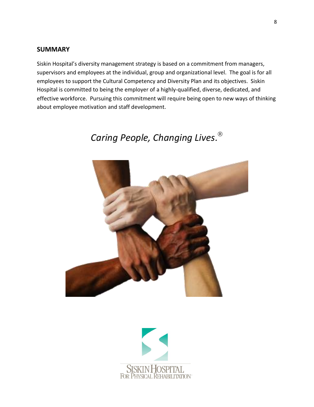#### **SUMMARY**

Siskin Hospital's diversity management strategy is based on a commitment from managers, supervisors and employees at the individual, group and organizational level. The goal is for all employees to support the Cultural Competency and Diversity Plan and its objectives. Siskin Hospital is committed to being the employer of a highly-qualified, diverse, dedicated, and effective workforce. Pursuing this commitment will require being open to new ways of thinking about employee motivation and staff development.

# *Caring People, Changing Lives*.